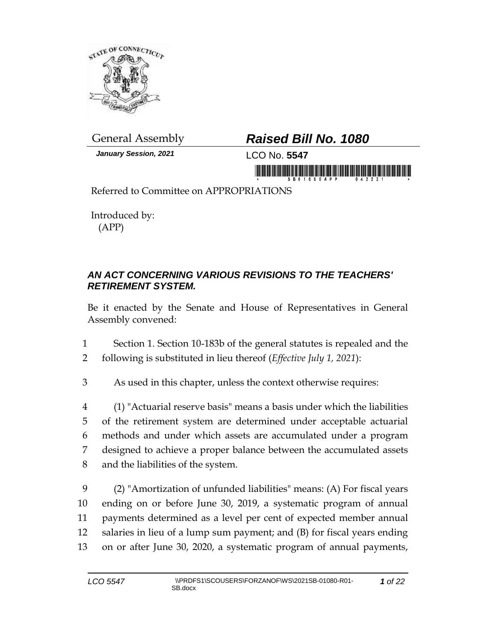

*January Session, 2021* LCO No. **5547**

## General Assembly *Raised Bill No. 1080*

in morning is in this initial in monitorial in a mornin

Referred to Committee on APPROPRIATIONS

Introduced by: (APP)

## *AN ACT CONCERNING VARIOUS REVISIONS TO THE TEACHERS' RETIREMENT SYSTEM.*

Be it enacted by the Senate and House of Representatives in General Assembly convened:

1 Section 1. Section 10-183b of the general statutes is repealed and the 2 following is substituted in lieu thereof (*Effective July 1, 2021*):

3 As used in this chapter, unless the context otherwise requires:

 (1) "Actuarial reserve basis" means a basis under which the liabilities of the retirement system are determined under acceptable actuarial methods and under which assets are accumulated under a program designed to achieve a proper balance between the accumulated assets and the liabilities of the system.

 (2) "Amortization of unfunded liabilities" means: (A) For fiscal years ending on or before June 30, 2019, a systematic program of annual payments determined as a level per cent of expected member annual salaries in lieu of a lump sum payment; and (B) for fiscal years ending on or after June 30, 2020, a systematic program of annual payments,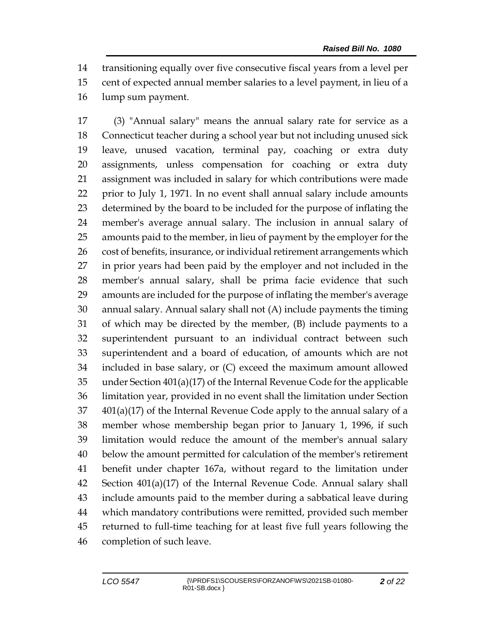transitioning equally over five consecutive fiscal years from a level per cent of expected annual member salaries to a level payment, in lieu of a lump sum payment.

 (3) "Annual salary" means the annual salary rate for service as a Connecticut teacher during a school year but not including unused sick leave, unused vacation, terminal pay, coaching or extra duty assignments, unless compensation for coaching or extra duty assignment was included in salary for which contributions were made prior to July 1, 1971. In no event shall annual salary include amounts determined by the board to be included for the purpose of inflating the member's average annual salary. The inclusion in annual salary of amounts paid to the member, in lieu of payment by the employer for the 26 cost of benefits, insurance, or individual retirement arrangements which in prior years had been paid by the employer and not included in the member's annual salary, shall be prima facie evidence that such amounts are included for the purpose of inflating the member's average annual salary. Annual salary shall not (A) include payments the timing of which may be directed by the member, (B) include payments to a superintendent pursuant to an individual contract between such superintendent and a board of education, of amounts which are not included in base salary, or (C) exceed the maximum amount allowed under Section 401(a)(17) of the Internal Revenue Code for the applicable limitation year, provided in no event shall the limitation under Section 401(a)(17) of the Internal Revenue Code apply to the annual salary of a member whose membership began prior to January 1, 1996, if such limitation would reduce the amount of the member's annual salary below the amount permitted for calculation of the member's retirement benefit under chapter 167a, without regard to the limitation under Section 401(a)(17) of the Internal Revenue Code. Annual salary shall include amounts paid to the member during a sabbatical leave during which mandatory contributions were remitted, provided such member returned to full-time teaching for at least five full years following the completion of such leave.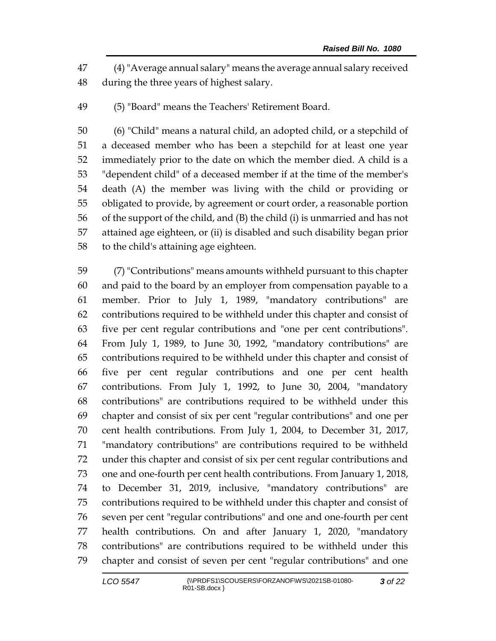(4)"Average annual salary" means the average annual salary received during the three years of highest salary.

(5) "Board" means the Teachers' Retirement Board.

 (6) "Child" means a natural child, an adopted child, or a stepchild of a deceased member who has been a stepchild for at least one year immediately prior to the date on which the member died. A child is a "dependent child" of a deceased member if at the time of the member's death (A) the member was living with the child or providing or obligated to provide, by agreement or court order, a reasonable portion of the support of the child, and (B) the child (i) is unmarried and has not attained age eighteen, or (ii) is disabled and such disability began prior to the child's attaining age eighteen.

 (7) "Contributions" means amounts withheld pursuant to this chapter and paid to the board by an employer from compensation payable to a member. Prior to July 1, 1989, "mandatory contributions" are contributions required to be withheld under this chapter and consist of five per cent regular contributions and "one per cent contributions". From July 1, 1989, to June 30, 1992, "mandatory contributions" are contributions required to be withheld under this chapter and consist of five per cent regular contributions and one per cent health contributions. From July 1, 1992, to June 30, 2004, "mandatory contributions" are contributions required to be withheld under this chapter and consist of six per cent "regular contributions" and one per cent health contributions. From July 1, 2004, to December 31, 2017, "mandatory contributions" are contributions required to be withheld under this chapter and consist of six per cent regular contributions and one and one-fourth per cent health contributions. From January 1, 2018, to December 31, 2019, inclusive, "mandatory contributions" are contributions required to be withheld under this chapter and consist of seven per cent "regular contributions" and one and one-fourth per cent health contributions. On and after January 1, 2020, "mandatory contributions" are contributions required to be withheld under this chapter and consist of seven per cent "regular contributions" and one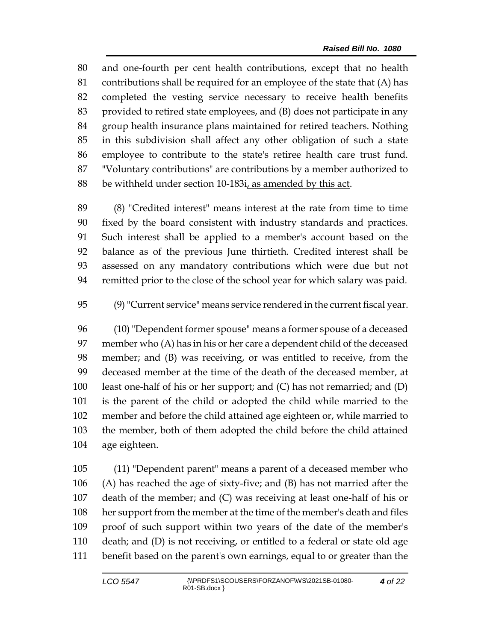and one-fourth per cent health contributions, except that no health contributions shall be required for an employee of the state that (A) has completed the vesting service necessary to receive health benefits provided to retired state employees, and (B) does not participate in any group health insurance plans maintained for retired teachers. Nothing in this subdivision shall affect any other obligation of such a state employee to contribute to the state's retiree health care trust fund. "Voluntary contributions" are contributions by a member authorized to be withheld under section 10-183i, as amended by this act.

 (8) "Credited interest" means interest at the rate from time to time fixed by the board consistent with industry standards and practices. Such interest shall be applied to a member's account based on the balance as of the previous June thirtieth. Credited interest shall be assessed on any mandatory contributions which were due but not remitted prior to the close of the school year for which salary was paid.

(9)"Current service" means service rendered in the current fiscal year.

 (10) "Dependent former spouse" means a former spouse of a deceased member who (A) has in his or her care a dependent child of the deceased member; and (B) was receiving, or was entitled to receive, from the deceased member at the time of the death of the deceased member, at least one-half of his or her support; and (C) has not remarried; and (D) is the parent of the child or adopted the child while married to the member and before the child attained age eighteen or, while married to the member, both of them adopted the child before the child attained age eighteen.

 (11) "Dependent parent" means a parent of a deceased member who (A) has reached the age of sixty-five; and (B) has not married after the death of the member; and (C) was receiving at least one-half of his or her support from the member at the time of the member's death and files proof of such support within two years of the date of the member's death; and (D) is not receiving, or entitled to a federal or state old age benefit based on the parent's own earnings, equal to or greater than the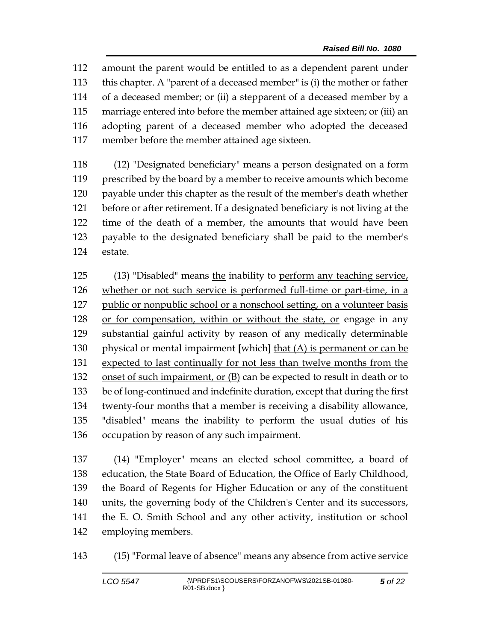amount the parent would be entitled to as a dependent parent under this chapter. A "parent of a deceased member" is (i) the mother or father of a deceased member; or (ii) a stepparent of a deceased member by a marriage entered into before the member attained age sixteen; or (iii) an adopting parent of a deceased member who adopted the deceased member before the member attained age sixteen.

 (12) "Designated beneficiary" means a person designated on a form prescribed by the board by a member to receive amounts which become payable under this chapter as the result of the member's death whether before or after retirement. If a designated beneficiary is not living at the time of the death of a member, the amounts that would have been payable to the designated beneficiary shall be paid to the member's estate.

 (13) "Disabled" means the inability to perform any teaching service, whether or not such service is performed full-time or part-time, in a 127 public or nonpublic school or a nonschool setting, on a volunteer basis 128 or for compensation, within or without the state, or engage in any substantial gainful activity by reason of any medically determinable physical or mental impairment **[**which**]** that (A) is permanent or can be expected to last continually for not less than twelve months from the 132 onset of such impairment, or (B) can be expected to result in death or to be of long-continued and indefinite duration, except that during the first twenty-four months that a member is receiving a disability allowance, "disabled" means the inability to perform the usual duties of his occupation by reason of any such impairment.

 (14) "Employer" means an elected school committee, a board of education, the State Board of Education, the Office of Early Childhood, the Board of Regents for Higher Education or any of the constituent units, the governing body of the Children's Center and its successors, the E. O. Smith School and any other activity, institution or school employing members.

(15) "Formal leave of absence" means any absence from active service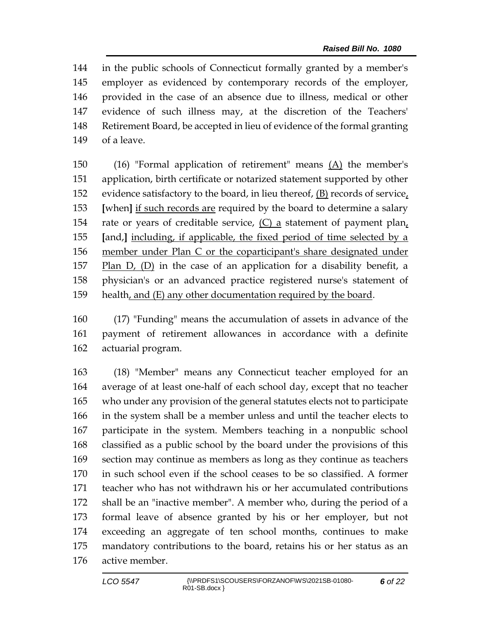in the public schools of Connecticut formally granted by a member's employer as evidenced by contemporary records of the employer, provided in the case of an absence due to illness, medical or other evidence of such illness may, at the discretion of the Teachers' Retirement Board, be accepted in lieu of evidence of the formal granting of a leave.

 (16) "Formal application of retirement" means (A) the member's application, birth certificate or notarized statement supported by other evidence satisfactory to the board, in lieu thereof, (B) records of service, **[**when**]** if such records are required by the board to determine a salary rate or years of creditable service, (C) a statement of payment plan, **[**and,**]** including, if applicable, the fixed period of time selected by a member under Plan C or the coparticipant's share designated under Plan D, (D) in the case of an application for a disability benefit, a physician's or an advanced practice registered nurse's statement of health, and (E) any other documentation required by the board.

 (17) "Funding" means the accumulation of assets in advance of the payment of retirement allowances in accordance with a definite actuarial program.

 (18) "Member" means any Connecticut teacher employed for an average of at least one-half of each school day, except that no teacher who under any provision of the general statutes elects not to participate in the system shall be a member unless and until the teacher elects to participate in the system. Members teaching in a nonpublic school classified as a public school by the board under the provisions of this section may continue as members as long as they continue as teachers in such school even if the school ceases to be so classified. A former teacher who has not withdrawn his or her accumulated contributions shall be an "inactive member". A member who, during the period of a formal leave of absence granted by his or her employer, but not exceeding an aggregate of ten school months, continues to make mandatory contributions to the board, retains his or her status as an active member.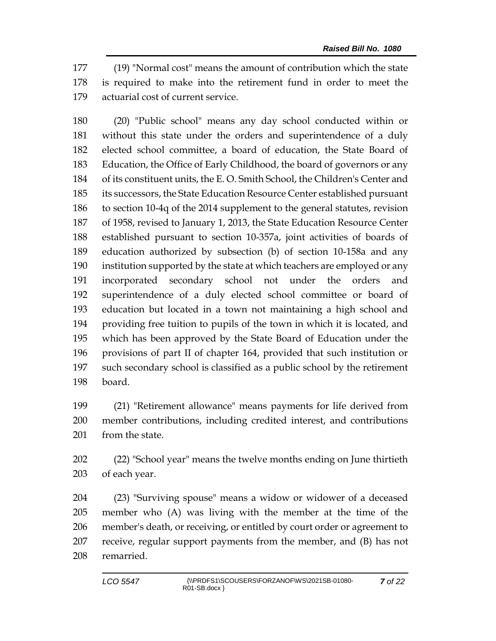(19) "Normal cost" means the amount of contribution which the state is required to make into the retirement fund in order to meet the actuarial cost of current service.

 (20) "Public school" means any day school conducted within or without this state under the orders and superintendence of a duly elected school committee, a board of education, the State Board of Education, the Office of Early Childhood, the board of governors or any of its constituent units, the E. O. Smith School, the Children's Center and its successors, the State Education Resource Center established pursuant to section 10-4q of the 2014 supplement to the general statutes, revision of 1958, revised to January 1, 2013, the State Education Resource Center established pursuant to section 10-357a, joint activities of boards of education authorized by subsection (b) of section 10-158a and any institution supported by the state at which teachers are employed or any incorporated secondary school not under the orders and superintendence of a duly elected school committee or board of education but located in a town not maintaining a high school and providing free tuition to pupils of the town in which it is located, and which has been approved by the State Board of Education under the provisions of part II of chapter 164, provided that such institution or such secondary school is classified as a public school by the retirement board.

 (21) "Retirement allowance" means payments for life derived from member contributions, including credited interest, and contributions 201 from the state.

 (22) "School year" means the twelve months ending on June thirtieth of each year.

 (23) "Surviving spouse" means a widow or widower of a deceased member who (A) was living with the member at the time of the member's death, or receiving, or entitled by court order or agreement to receive, regular support payments from the member, and (B) has not remarried.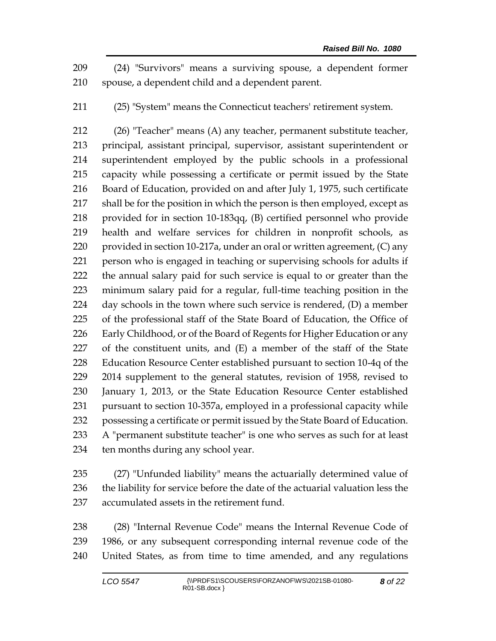(24) "Survivors" means a surviving spouse, a dependent former spouse, a dependent child and a dependent parent.

(25) "System" means the Connecticut teachers' retirement system.

 (26) "Teacher" means (A) any teacher, permanent substitute teacher, principal, assistant principal, supervisor, assistant superintendent or superintendent employed by the public schools in a professional capacity while possessing a certificate or permit issued by the State Board of Education, provided on and after July 1, 1975, such certificate shall be for the position in which the person is then employed, except as provided for in section 10-183qq, (B) certified personnel who provide health and welfare services for children in nonprofit schools, as 220 provided in section 10-217a, under an oral or written agreement, (C) any person who is engaged in teaching or supervising schools for adults if the annual salary paid for such service is equal to or greater than the minimum salary paid for a regular, full-time teaching position in the 224 day schools in the town where such service is rendered, (D) a member of the professional staff of the State Board of Education, the Office of Early Childhood, or of the Board of Regents for Higher Education or any of the constituent units, and (E) a member of the staff of the State Education Resource Center established pursuant to section 10-4q of the 2014 supplement to the general statutes, revision of 1958, revised to January 1, 2013, or the State Education Resource Center established pursuant to section 10-357a, employed in a professional capacity while possessing a certificate or permit issued by the State Board of Education. A "permanent substitute teacher" is one who serves as such for at least ten months during any school year.

 (27) "Unfunded liability" means the actuarially determined value of the liability for service before the date of the actuarial valuation less the accumulated assets in the retirement fund.

 (28) "Internal Revenue Code" means the Internal Revenue Code of 1986, or any subsequent corresponding internal revenue code of the United States, as from time to time amended, and any regulations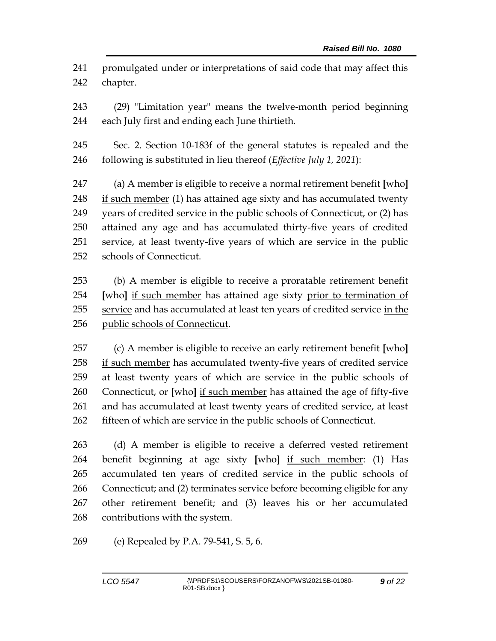promulgated under or interpretations of said code that may affect this chapter.

 (29) "Limitation year" means the twelve-month period beginning each July first and ending each June thirtieth.

 Sec. 2. Section 10-183f of the general statutes is repealed and the following is substituted in lieu thereof (*Effective July 1, 2021*):

 (a) A member is eligible to receive a normal retirement benefit **[**who**]** 248 if such member (1) has attained age sixty and has accumulated twenty years of credited service in the public schools of Connecticut, or (2) has attained any age and has accumulated thirty-five years of credited service, at least twenty-five years of which are service in the public schools of Connecticut.

 (b) A member is eligible to receive a proratable retirement benefit **[**who**]** if such member has attained age sixty prior to termination of service and has accumulated at least ten years of credited service in the public schools of Connecticut.

 (c) A member is eligible to receive an early retirement benefit **[**who**]** if such member has accumulated twenty-five years of credited service at least twenty years of which are service in the public schools of Connecticut, or **[**who**]** if such member has attained the age of fifty-five and has accumulated at least twenty years of credited service, at least fifteen of which are service in the public schools of Connecticut.

 (d) A member is eligible to receive a deferred vested retirement benefit beginning at age sixty **[**who**]** if such member: (1) Has accumulated ten years of credited service in the public schools of Connecticut; and (2) terminates service before becoming eligible for any other retirement benefit; and (3) leaves his or her accumulated contributions with the system.

(e) Repealed by P.A. 79-541, S. 5, 6.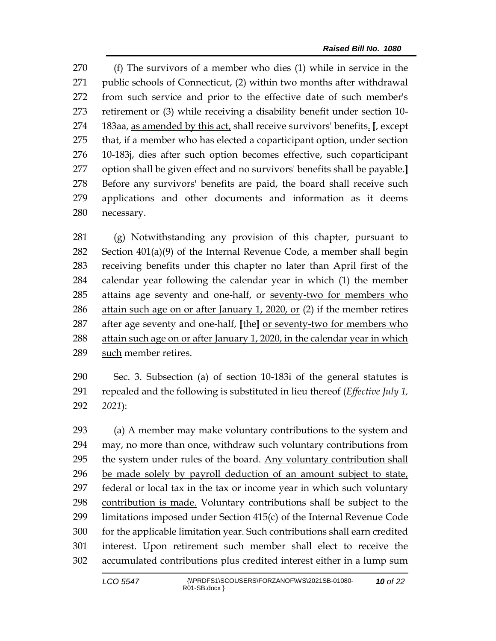(f) The survivors of a member who dies (1) while in service in the public schools of Connecticut, (2) within two months after withdrawal from such service and prior to the effective date of such member's retirement or (3) while receiving a disability benefit under section 10- 183aa, as amended by this act, shall receive survivors' benefits. **[**, except that, if a member who has elected a coparticipant option, under section 10-183j, dies after such option becomes effective, such coparticipant option shall be given effect and no survivors' benefits shall be payable.**]** Before any survivors' benefits are paid, the board shall receive such applications and other documents and information as it deems necessary.

 (g) Notwithstanding any provision of this chapter, pursuant to Section 401(a)(9) of the Internal Revenue Code, a member shall begin receiving benefits under this chapter no later than April first of the calendar year following the calendar year in which (1) the member attains age seventy and one-half, or seventy-two for members who attain such age on or after January 1, 2020, or (2) if the member retires after age seventy and one-half, **[**the**]** or seventy-two for members who attain such age on or after January 1, 2020, in the calendar year in which 289 such member retires.

 Sec. 3. Subsection (a) of section 10-183i of the general statutes is repealed and the following is substituted in lieu thereof (*Effective July 1, 2021*):

 (a) A member may make voluntary contributions to the system and may, no more than once, withdraw such voluntary contributions from the system under rules of the board. Any voluntary contribution shall be made solely by payroll deduction of an amount subject to state, 297 federal or local tax in the tax or income year in which such voluntary contribution is made. Voluntary contributions shall be subject to the limitations imposed under Section 415(c) of the Internal Revenue Code for the applicable limitation year. Such contributions shall earn credited interest. Upon retirement such member shall elect to receive the accumulated contributions plus credited interest either in a lump sum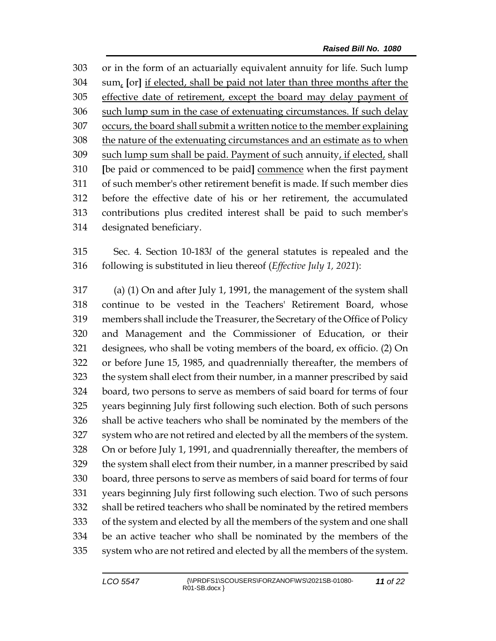or in the form of an actuarially equivalent annuity for life. Such lump sum, **[**or**]** if elected, shall be paid not later than three months after the effective date of retirement, except the board may delay payment of such lump sum in the case of extenuating circumstances. If such delay occurs, the board shall submit a written notice to the member explaining the nature of the extenuating circumstances and an estimate as to when such lump sum shall be paid. Payment of such annuity, if elected, shall **[**be paid or commenced to be paid**]** commence when the first payment of such member's other retirement benefit is made. If such member dies before the effective date of his or her retirement, the accumulated contributions plus credited interest shall be paid to such member's designated beneficiary.

 Sec. 4. Section 10-183*l* of the general statutes is repealed and the following is substituted in lieu thereof (*Effective July 1, 2021*):

 (a) (1) On and after July 1, 1991, the management of the system shall continue to be vested in the Teachers' Retirement Board, whose members shall include the Treasurer, the Secretary of the Office of Policy and Management and the Commissioner of Education, or their designees, who shall be voting members of the board, ex officio. (2) On or before June 15, 1985, and quadrennially thereafter, the members of the system shall elect from their number, in a manner prescribed by said board, two persons to serve as members of said board for terms of four years beginning July first following such election. Both of such persons shall be active teachers who shall be nominated by the members of the system who are not retired and elected by all the members of the system. On or before July 1, 1991, and quadrennially thereafter, the members of the system shall elect from their number, in a manner prescribed by said board, three persons to serve as members of said board for terms of four years beginning July first following such election. Two of such persons shall be retired teachers who shall be nominated by the retired members of the system and elected by all the members of the system and one shall be an active teacher who shall be nominated by the members of the system who are not retired and elected by all the members of the system.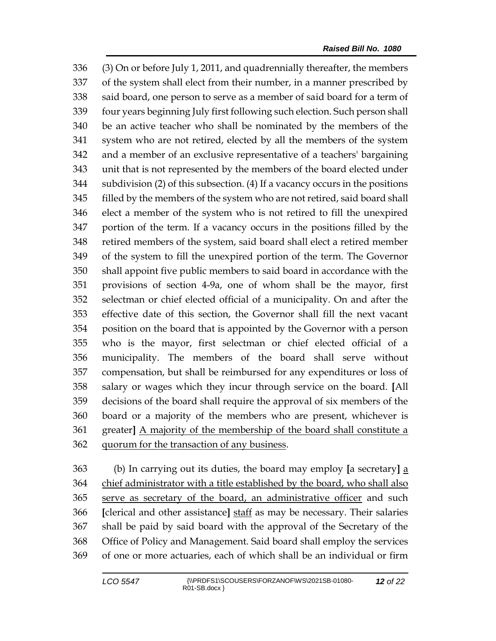(3) On or before July 1, 2011, and quadrennially thereafter, the members of the system shall elect from their number, in a manner prescribed by said board, one person to serve as a member of said board for a term of four years beginning July first following such election. Such person shall be an active teacher who shall be nominated by the members of the system who are not retired, elected by all the members of the system and a member of an exclusive representative of a teachers' bargaining unit that is not represented by the members of the board elected under subdivision (2) of this subsection. (4) If a vacancy occurs in the positions filled by the members of the system who are not retired, said board shall elect a member of the system who is not retired to fill the unexpired portion of the term. If a vacancy occurs in the positions filled by the retired members of the system, said board shall elect a retired member of the system to fill the unexpired portion of the term. The Governor shall appoint five public members to said board in accordance with the provisions of section 4-9a, one of whom shall be the mayor, first selectman or chief elected official of a municipality. On and after the effective date of this section, the Governor shall fill the next vacant position on the board that is appointed by the Governor with a person who is the mayor, first selectman or chief elected official of a municipality. The members of the board shall serve without compensation, but shall be reimbursed for any expenditures or loss of salary or wages which they incur through service on the board. **[**All decisions of the board shall require the approval of six members of the board or a majority of the members who are present, whichever is greater**]** A majority of the membership of the board shall constitute a quorum for the transaction of any business.

 (b) In carrying out its duties, the board may employ **[**a secretary**]** a 364 chief administrator with a title established by the board, who shall also serve as secretary of the board, an administrative officer and such **[**clerical and other assistance**]** staff as may be necessary. Their salaries shall be paid by said board with the approval of the Secretary of the Office of Policy and Management. Said board shall employ the services of one or more actuaries, each of which shall be an individual or firm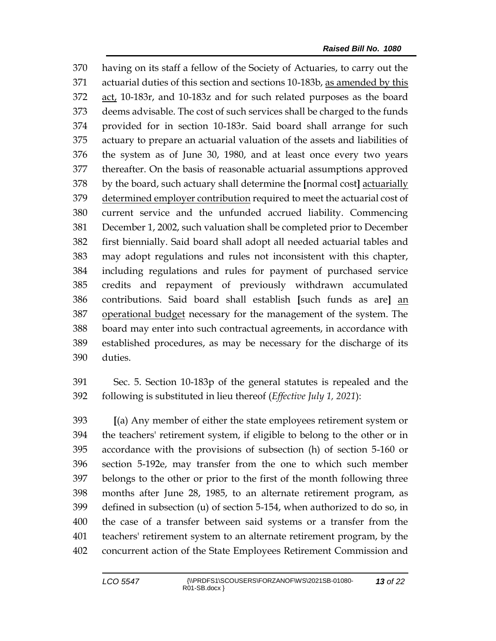having on its staff a fellow of the Society of Actuaries, to carry out the actuarial duties of this section and sections 10-183b, as amended by this act, 10-183r, and 10-183z and for such related purposes as the board deems advisable. The cost of such services shall be charged to the funds provided for in section 10-183r. Said board shall arrange for such actuary to prepare an actuarial valuation of the assets and liabilities of the system as of June 30, 1980, and at least once every two years thereafter. On the basis of reasonable actuarial assumptions approved by the board, such actuary shall determine the **[**normal cost**]** actuarially 379 determined employer contribution required to meet the actuarial cost of current service and the unfunded accrued liability. Commencing December 1, 2002, such valuation shall be completed prior to December first biennially. Said board shall adopt all needed actuarial tables and may adopt regulations and rules not inconsistent with this chapter, including regulations and rules for payment of purchased service credits and repayment of previously withdrawn accumulated contributions. Said board shall establish **[**such funds as are**]** an 387 operational budget necessary for the management of the system. The board may enter into such contractual agreements, in accordance with established procedures, as may be necessary for the discharge of its duties.

 Sec. 5. Section 10-183p of the general statutes is repealed and the following is substituted in lieu thereof (*Effective July 1, 2021*):

 **[**(a) Any member of either the state employees retirement system or the teachers' retirement system, if eligible to belong to the other or in accordance with the provisions of subsection (h) of section 5-160 or section 5-192e, may transfer from the one to which such member belongs to the other or prior to the first of the month following three months after June 28, 1985, to an alternate retirement program, as defined in subsection (u) of section 5-154, when authorized to do so, in the case of a transfer between said systems or a transfer from the teachers' retirement system to an alternate retirement program, by the concurrent action of the State Employees Retirement Commission and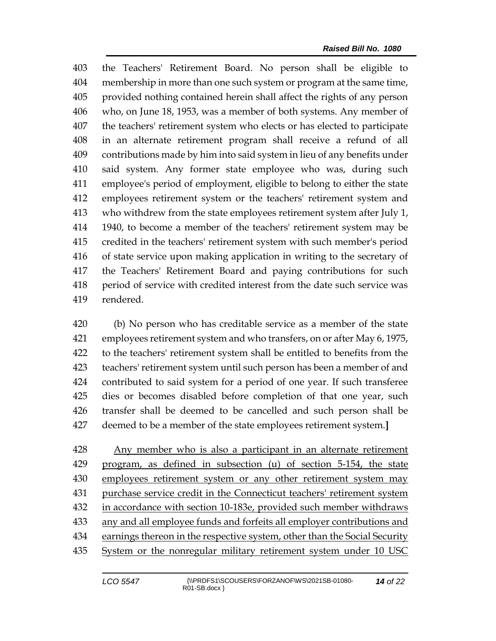the Teachers' Retirement Board. No person shall be eligible to membership in more than one such system or program at the same time, provided nothing contained herein shall affect the rights of any person who, on June 18, 1953, was a member of both systems. Any member of the teachers' retirement system who elects or has elected to participate in an alternate retirement program shall receive a refund of all contributions made by him into said system in lieu of any benefits under said system. Any former state employee who was, during such employee's period of employment, eligible to belong to either the state employees retirement system or the teachers' retirement system and who withdrew from the state employees retirement system after July 1, 1940, to become a member of the teachers' retirement system may be credited in the teachers' retirement system with such member's period of state service upon making application in writing to the secretary of the Teachers' Retirement Board and paying contributions for such period of service with credited interest from the date such service was rendered.

 (b) No person who has creditable service as a member of the state employees retirement system and who transfers, on or after May 6, 1975, to the teachers' retirement system shall be entitled to benefits from the teachers' retirement system until such person has been a member of and contributed to said system for a period of one year. If such transferee dies or becomes disabled before completion of that one year, such transfer shall be deemed to be cancelled and such person shall be deemed to be a member of the state employees retirement system.**]**

 Any member who is also a participant in an alternate retirement program, as defined in subsection (u) of section 5-154, the state employees retirement system or any other retirement system may purchase service credit in the Connecticut teachers' retirement system in accordance with section 10-183e, provided such member withdraws any and all employee funds and forfeits all employer contributions and earnings thereon in the respective system, other than the Social Security System or the nonregular military retirement system under 10 USC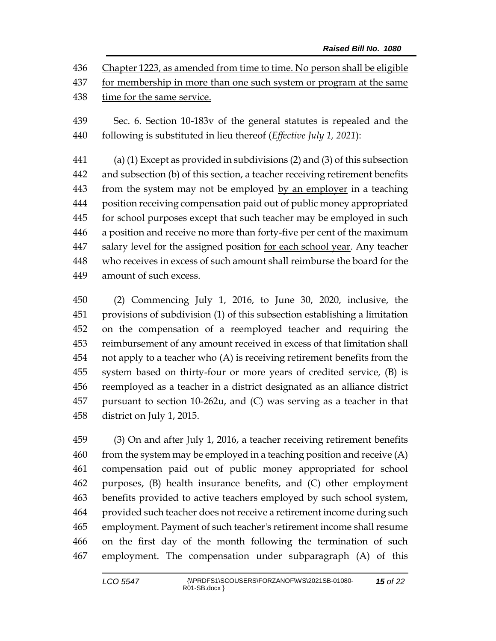Chapter 1223, as amended from time to time. No person shall be eligible for membership in more than one such system or program at the same time for the same service.

 Sec. 6. Section 10-183v of the general statutes is repealed and the following is substituted in lieu thereof (*Effective July 1, 2021*):

 (a) (1) Except as provided in subdivisions (2) and (3) of this subsection and subsection (b) of this section, a teacher receiving retirement benefits from the system may not be employed by an employer in a teaching position receiving compensation paid out of public money appropriated for school purposes except that such teacher may be employed in such a position and receive no more than forty-five per cent of the maximum salary level for the assigned position for each school year. Any teacher who receives in excess of such amount shall reimburse the board for the amount of such excess.

 (2) Commencing July 1, 2016, to June 30, 2020, inclusive, the provisions of subdivision (1) of this subsection establishing a limitation on the compensation of a reemployed teacher and requiring the reimbursement of any amount received in excess of that limitation shall not apply to a teacher who (A) is receiving retirement benefits from the system based on thirty-four or more years of credited service, (B) is reemployed as a teacher in a district designated as an alliance district pursuant to section 10-262u, and (C) was serving as a teacher in that district on July 1, 2015.

 (3) On and after July 1, 2016, a teacher receiving retirement benefits from the system may be employed in a teaching position and receive  $(A)$  compensation paid out of public money appropriated for school purposes, (B) health insurance benefits, and (C) other employment benefits provided to active teachers employed by such school system, provided such teacher does not receive a retirement income during such employment. Payment of such teacher's retirement income shall resume on the first day of the month following the termination of such employment. The compensation under subparagraph (A) of this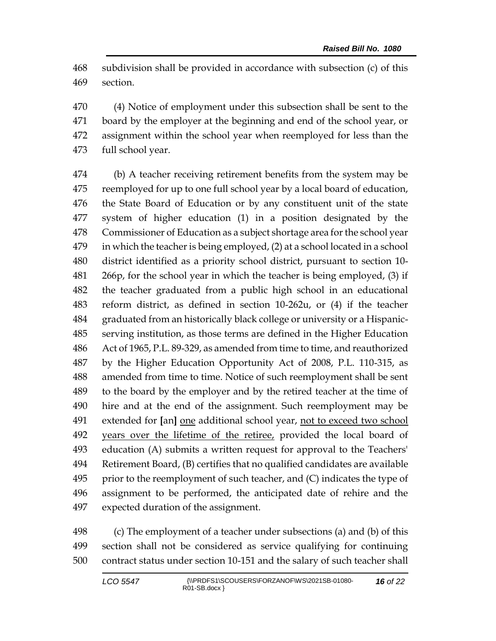subdivision shall be provided in accordance with subsection (c) of this section.

 (4) Notice of employment under this subsection shall be sent to the board by the employer at the beginning and end of the school year, or assignment within the school year when reemployed for less than the full school year.

 (b) A teacher receiving retirement benefits from the system may be reemployed for up to one full school year by a local board of education, the State Board of Education or by any constituent unit of the state system of higher education (1) in a position designated by the Commissioner of Education as a subject shortage area for the school year in which the teacher is being employed, (2) at a school located in a school district identified as a priority school district, pursuant to section 10- 266p, for the school year in which the teacher is being employed, (3) if the teacher graduated from a public high school in an educational reform district, as defined in section 10-262u, or (4) if the teacher graduated from an historically black college or university or a Hispanic- serving institution, as those terms are defined in the Higher Education Act of 1965, P.L. 89-329, as amended from time to time, and reauthorized by the Higher Education Opportunity Act of 2008, P.L. 110-315, as amended from time to time. Notice of such reemployment shall be sent to the board by the employer and by the retired teacher at the time of hire and at the end of the assignment. Such reemployment may be extended for **[**an**]** one additional school year, not to exceed two school years over the lifetime of the retiree, provided the local board of education (A) submits a written request for approval to the Teachers' Retirement Board, (B) certifies that no qualified candidates are available 495 prior to the reemployment of such teacher, and  $(C)$  indicates the type of assignment to be performed, the anticipated date of rehire and the expected duration of the assignment.

 (c) The employment of a teacher under subsections (a) and (b) of this section shall not be considered as service qualifying for continuing contract status under section 10-151 and the salary of such teacher shall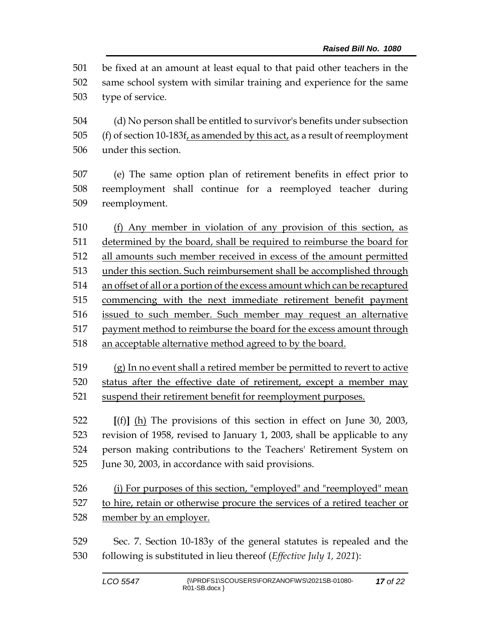be fixed at an amount at least equal to that paid other teachers in the same school system with similar training and experience for the same type of service.

 (d) No person shall be entitled to survivor's benefits under subsection 505 (f) of section 10-183f, as amended by this act, as a result of reemployment under this section.

 (e) The same option plan of retirement benefits in effect prior to reemployment shall continue for a reemployed teacher during reemployment.

 (f) Any member in violation of any provision of this section, as determined by the board, shall be required to reimburse the board for all amounts such member received in excess of the amount permitted under this section. Such reimbursement shall be accomplished through an offset of all or a portion of the excess amount which can be recaptured commencing with the next immediate retirement benefit payment issued to such member. Such member may request an alternative payment method to reimburse the board for the excess amount through an acceptable alternative method agreed to by the board.

 (g) In no event shall a retired member be permitted to revert to active status after the effective date of retirement, except a member may suspend their retirement benefit for reemployment purposes.

 **[**(f)**]** (h) The provisions of this section in effect on June 30, 2003, revision of 1958, revised to January 1, 2003, shall be applicable to any person making contributions to the Teachers' Retirement System on June 30, 2003, in accordance with said provisions.

- (i) For purposes of this section, "employed" and "reemployed" mean to hire, retain or otherwise procure the services of a retired teacher or member by an employer.
- Sec. 7. Section 10-183y of the general statutes is repealed and the following is substituted in lieu thereof (*Effective July 1, 2021*):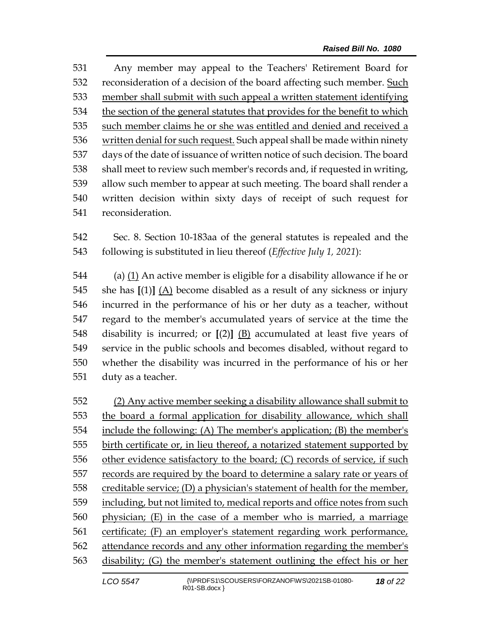Any member may appeal to the Teachers' Retirement Board for reconsideration of a decision of the board affecting such member. Such member shall submit with such appeal a written statement identifying the section of the general statutes that provides for the benefit to which such member claims he or she was entitled and denied and received a written denial for such request. Such appeal shall be made within ninety days of the date of issuance of written notice of such decision. The board shall meet to review such member's records and, if requested in writing, allow such member to appear at such meeting. The board shall render a written decision within sixty days of receipt of such request for reconsideration.

 Sec. 8. Section 10-183aa of the general statutes is repealed and the following is substituted in lieu thereof (*Effective July 1, 2021*):

 (a) (1) An active member is eligible for a disability allowance if he or she has **[**(1)**]** (A) become disabled as a result of any sickness or injury incurred in the performance of his or her duty as a teacher, without regard to the member's accumulated years of service at the time the disability is incurred; or **[**(2)**]** (B) accumulated at least five years of service in the public schools and becomes disabled, without regard to whether the disability was incurred in the performance of his or her duty as a teacher.

 (2) Any active member seeking a disability allowance shall submit to the board a formal application for disability allowance, which shall include the following: (A) The member's application; (B) the member's birth certificate or, in lieu thereof, a notarized statement supported by other evidence satisfactory to the board; (C) records of service, if such records are required by the board to determine a salary rate or years of 558 creditable service; (D) a physician's statement of health for the member, 559 including, but not limited to, medical reports and office notes from such physician; (E) in the case of a member who is married, a marriage certificate; (F) an employer's statement regarding work performance, attendance records and any other information regarding the member's disability; (G) the member's statement outlining the effect his or her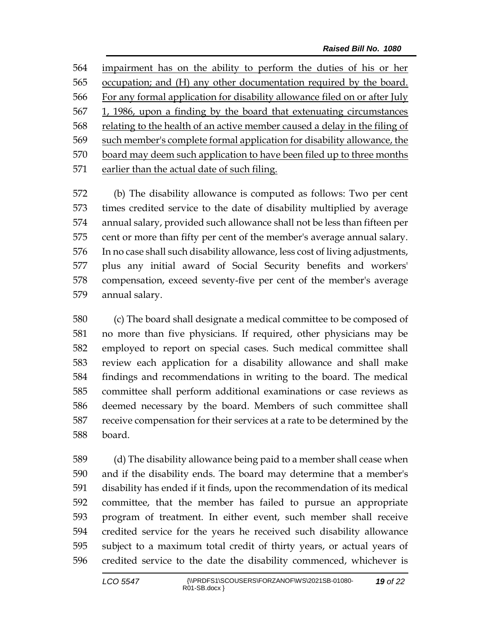impairment has on the ability to perform the duties of his or her occupation; and (H) any other documentation required by the board. For any formal application for disability allowance filed on or after July 1, 1986, upon a finding by the board that extenuating circumstances relating to the health of an active member caused a delay in the filing of such member's complete formal application for disability allowance, the board may deem such application to have been filed up to three months 571 earlier than the actual date of such filing.

 (b) The disability allowance is computed as follows: Two per cent times credited service to the date of disability multiplied by average annual salary, provided such allowance shall not be less than fifteen per cent or more than fifty per cent of the member's average annual salary. In no case shall such disability allowance, less cost of living adjustments, plus any initial award of Social Security benefits and workers' compensation, exceed seventy-five per cent of the member's average annual salary.

 (c) The board shall designate a medical committee to be composed of no more than five physicians. If required, other physicians may be employed to report on special cases. Such medical committee shall review each application for a disability allowance and shall make findings and recommendations in writing to the board. The medical committee shall perform additional examinations or case reviews as deemed necessary by the board. Members of such committee shall receive compensation for their services at a rate to be determined by the board.

 (d) The disability allowance being paid to a member shall cease when and if the disability ends. The board may determine that a member's disability has ended if it finds, upon the recommendation of its medical committee, that the member has failed to pursue an appropriate program of treatment. In either event, such member shall receive credited service for the years he received such disability allowance subject to a maximum total credit of thirty years, or actual years of credited service to the date the disability commenced, whichever is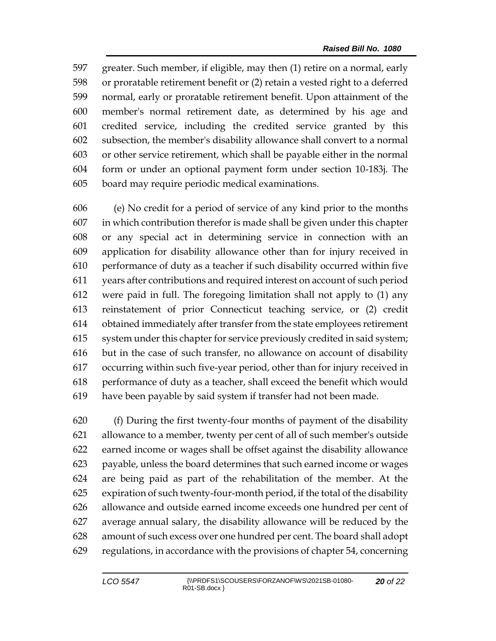greater. Such member, if eligible, may then (1) retire on a normal, early or proratable retirement benefit or (2) retain a vested right to a deferred normal, early or proratable retirement benefit. Upon attainment of the member's normal retirement date, as determined by his age and credited service, including the credited service granted by this subsection, the member's disability allowance shall convert to a normal or other service retirement, which shall be payable either in the normal form or under an optional payment form under section 10-183j. The board may require periodic medical examinations.

 (e) No credit for a period of service of any kind prior to the months in which contribution therefor is made shall be given under this chapter or any special act in determining service in connection with an application for disability allowance other than for injury received in performance of duty as a teacher if such disability occurred within five years after contributions and required interest on account of such period were paid in full. The foregoing limitation shall not apply to (1) any reinstatement of prior Connecticut teaching service, or (2) credit obtained immediately after transfer from the state employees retirement system under this chapter for service previously credited in said system; but in the case of such transfer, no allowance on account of disability occurring within such five-year period, other than for injury received in performance of duty as a teacher, shall exceed the benefit which would have been payable by said system if transfer had not been made.

 (f) During the first twenty-four months of payment of the disability allowance to a member, twenty per cent of all of such member's outside earned income or wages shall be offset against the disability allowance payable, unless the board determines that such earned income or wages are being paid as part of the rehabilitation of the member. At the expiration of such twenty-four-month period, if the total of the disability allowance and outside earned income exceeds one hundred per cent of average annual salary, the disability allowance will be reduced by the amount of such excess over one hundred per cent. The board shall adopt regulations, in accordance with the provisions of chapter 54, concerning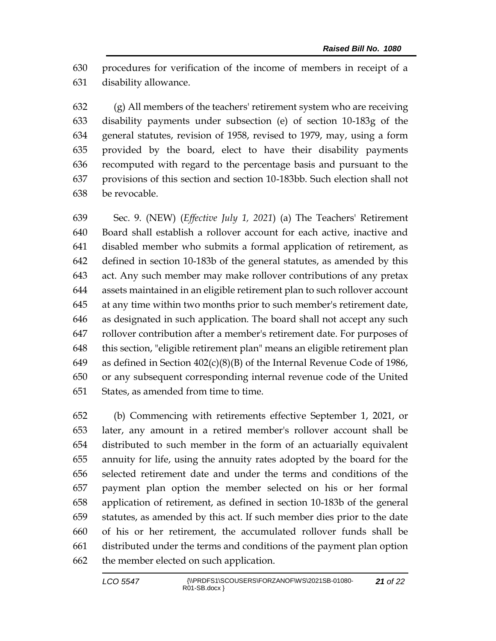procedures for verification of the income of members in receipt of a disability allowance.

 (g) All members of the teachers' retirement system who are receiving disability payments under subsection (e) of section 10-183g of the general statutes, revision of 1958, revised to 1979, may, using a form provided by the board, elect to have their disability payments recomputed with regard to the percentage basis and pursuant to the provisions of this section and section 10-183bb. Such election shall not be revocable.

 Sec. 9. (NEW) (*Effective July 1, 2021*) (a) The Teachers' Retirement Board shall establish a rollover account for each active, inactive and disabled member who submits a formal application of retirement, as defined in section 10-183b of the general statutes, as amended by this act. Any such member may make rollover contributions of any pretax assets maintained in an eligible retirement plan to such rollover account at any time within two months prior to such member's retirement date, as designated in such application. The board shall not accept any such rollover contribution after a member's retirement date. For purposes of this section, "eligible retirement plan" means an eligible retirement plan as defined in Section 402(c)(8)(B) of the Internal Revenue Code of 1986, or any subsequent corresponding internal revenue code of the United States, as amended from time to time.

 (b) Commencing with retirements effective September 1, 2021, or later, any amount in a retired member's rollover account shall be distributed to such member in the form of an actuarially equivalent annuity for life, using the annuity rates adopted by the board for the selected retirement date and under the terms and conditions of the payment plan option the member selected on his or her formal application of retirement, as defined in section 10-183b of the general statutes, as amended by this act. If such member dies prior to the date of his or her retirement, the accumulated rollover funds shall be distributed under the terms and conditions of the payment plan option the member elected on such application.